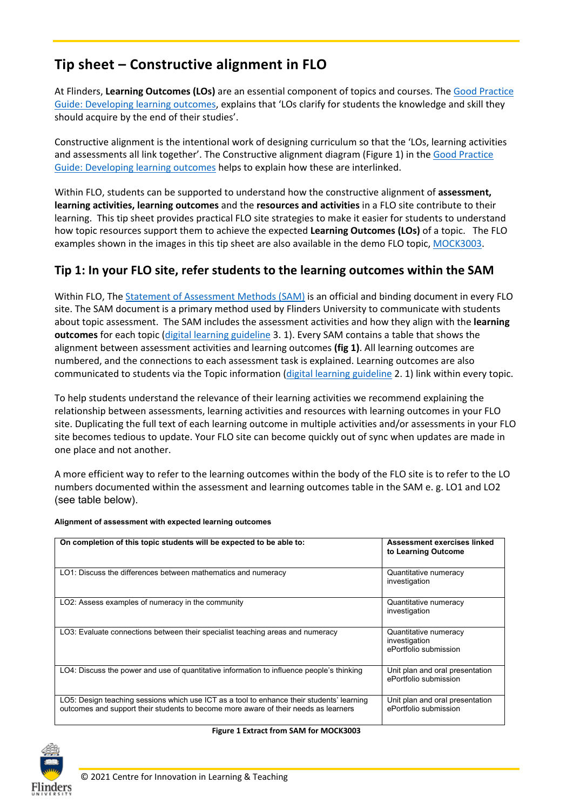# **Tip sheet – Constructive alignment in FLO**

At Flinders, **Learning Outcomes (LOs)** are an essential component of topics and courses. The [Good Practice](https://staff.flinders.edu.au/learning-teaching/good-practice-guides/gpg-learning-outcomes)  [Guide: Developing learning outcomes,](https://staff.flinders.edu.au/learning-teaching/good-practice-guides/gpg-learning-outcomes) explains that 'LOs clarify for students the knowledge and skill they should acquire by the end of their studies'.

Constructive alignment is the intentional work of designing curriculum so that the 'LOs, learning activities and assessments all link together'. The Constructive alignment diagram (Figure 1) in the [Good Practice](https://staff.flinders.edu.au/learning-teaching/good-practice-guides/gpg-learning-outcomes)  [Guide: Developing learning outcomes](https://staff.flinders.edu.au/learning-teaching/good-practice-guides/gpg-learning-outcomes) helps to explain how these are interlinked.

Within FLO, students can be supported to understand how the constructive alignment of **assessment, learning activities, learning outcomes** and the **resources and activities** in a FLO site contribute to their learning. This tip sheet provides practical FLO site strategies to make it easier for students to understand how topic resources support them to achieve the expected **Learning Outcomes (LOs)** of a topic. The FLO examples shown in the images in this tip sheet are also available in the demo FLO topic, [MOCK3003.](https://flo.flinders.edu.au/course/view.php?id=68880)

### **Tip 1: In your FLO site, refer students to the learning outcomes within the SAM**

Within FLO, Th[e Statement of Assessment Methods \(SAM\)](https://flo.flinders.edu.au/mod/glossary/showentry.php?courseid=151&eid=104522&displayformat=dictionary) is an official and binding document in every FLO site. The SAM document is a primary method used by Flinders University to communicate with students about topic assessment. The SAM includes the assessment activities and how they align with the **learning outcomes** for each topic [\(digital learning guideline](https://staff.flinders.edu.au/learning-teaching/digital-learning) 3. 1). Every SAM contains a table that shows the alignment between assessment activities and learning outcomes **(fig 1)**. All learning outcomes are numbered, and the connections to each assessment task is explained. Learning outcomes are also communicated to students via the Topic information [\(digital learning guideline](https://staff.flinders.edu.au/learning-teaching/digital-learning) 2. 1) link within every topic.

To help students understand the relevance of their learning activities we recommend explaining the relationship between assessments, learning activities and resources with learning outcomes in your FLO site. Duplicating the full text of each learning outcome in multiple activities and/or assessments in your FLO site becomes tedious to update. Your FLO site can become quickly out of sync when updates are made in one place and not another.

A more efficient way to refer to the learning outcomes within the body of the FLO site is to refer to the LO numbers documented within the assessment and learning outcomes table in the SAM e. g. LO1 and LO2 (see table below).

| On completion of this topic students will be expected to be able to:                                                                                                             | Assessment exercises linked<br>to Learning Outcome              |
|----------------------------------------------------------------------------------------------------------------------------------------------------------------------------------|-----------------------------------------------------------------|
| LO1: Discuss the differences between mathematics and numeracy                                                                                                                    | Quantitative numeracy<br>investigation                          |
| LO2: Assess examples of numeracy in the community                                                                                                                                | Quantitative numeracy<br>investigation                          |
| LO3: Evaluate connections between their specialist teaching areas and numeracy                                                                                                   | Quantitative numeracy<br>investigation<br>ePortfolio submission |
| LO4: Discuss the power and use of quantitative information to influence people's thinking                                                                                        | Unit plan and oral presentation<br>ePortfolio submission        |
| LO5: Design teaching sessions which use ICT as a tool to enhance their students' learning<br>outcomes and support their students to become more aware of their needs as learners | Unit plan and oral presentation<br>ePortfolio submission        |

#### **Alignment of assessment with expected learning outcomes**



#### **Figure 1 Extract from SAM for MOCK3003**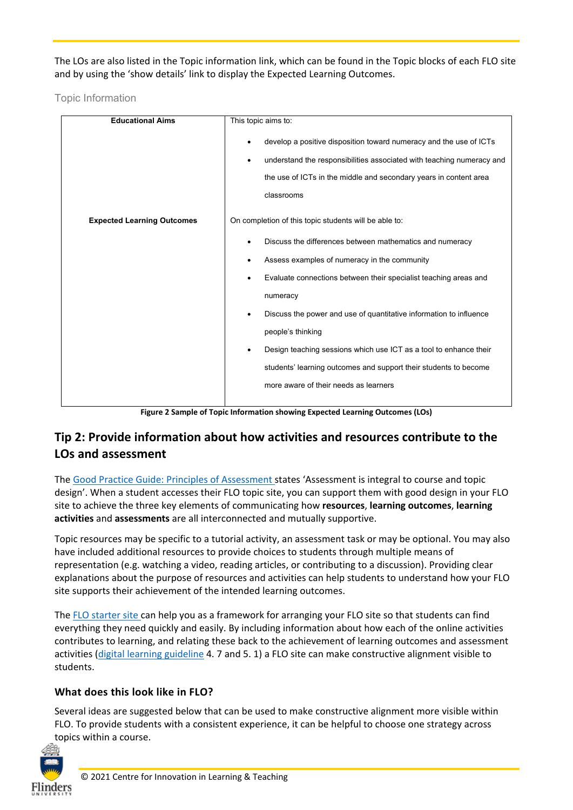The LOs are also listed in the Topic information link, which can be found in the Topic blocks of each FLO site and by using the 'show details' link to display the Expected Learning Outcomes.

Topic Information

| <b>Educational Aims</b>           | This topic aims to:                                                                                                                                                                                                                 |  |
|-----------------------------------|-------------------------------------------------------------------------------------------------------------------------------------------------------------------------------------------------------------------------------------|--|
|                                   | develop a positive disposition toward numeracy and the use of ICTs<br>understand the responsibilities associated with teaching numeracy and<br>٠<br>the use of ICTs in the middle and secondary years in content area<br>classrooms |  |
| <b>Expected Learning Outcomes</b> | On completion of this topic students will be able to:                                                                                                                                                                               |  |
|                                   | Discuss the differences between mathematics and numeracy                                                                                                                                                                            |  |
|                                   | Assess examples of numeracy in the community                                                                                                                                                                                        |  |
|                                   | Evaluate connections between their specialist teaching areas and                                                                                                                                                                    |  |
|                                   | numeracy                                                                                                                                                                                                                            |  |
|                                   | Discuss the power and use of quantitative information to influence                                                                                                                                                                  |  |
|                                   | people's thinking                                                                                                                                                                                                                   |  |
|                                   | Design teaching sessions which use ICT as a tool to enhance their<br>$\bullet$                                                                                                                                                      |  |
|                                   | students' learning outcomes and support their students to become                                                                                                                                                                    |  |
|                                   | more aware of their needs as learners                                                                                                                                                                                               |  |
|                                   |                                                                                                                                                                                                                                     |  |

**Figure 2 Sample of Topic Information showing Expected Learning Outcomes (LOs)**

## **Tip 2: Provide information about how activities and resources contribute to the LOs and assessment**

The [Good Practice Guide: Principles of Assessment s](https://staff.flinders.edu.au/learning-teaching/good-practice-guides/gpg-assessment)tates 'Assessment is integral to course and topic design'. When a student accesses their FLO topic site, you can support them with good design in your FLO site to achieve the three key elements of communicating how **resources**, **learning outcomes**, **learning activities** and **assessments** are all interconnected and mutually supportive.

Topic resources may be specific to a tutorial activity, an assessment task or may be optional. You may also have included additional resources to provide choices to students through multiple means of representation (e.g. watching a video, reading articles, or contributing to a discussion). Providing clear explanations about the purpose of resources and activities can help students to understand how your FLO site supports their achievement of the intended learning outcomes.

The [FLO starter site](https://staff.flinders.edu.au/learning-teaching/starter-site) can help you as a framework for arranging your FLO site so that students can find everything they need quickly and easily. By including information about how each of the online activities contributes to learning, and relating these back to the achievement of learning outcomes and assessment activities [\(digital learning guideline](https://staff.flinders.edu.au/learning-teaching/digital-learning) 4. 7 and 5. 1) a FLO site can make constructive alignment visible to students.

## **What does this look like in FLO?**

Several ideas are suggested below that can be used to make constructive alignment more visible within FLO. To provide students with a consistent experience, it can be helpful to choose one strategy across topics within a course.

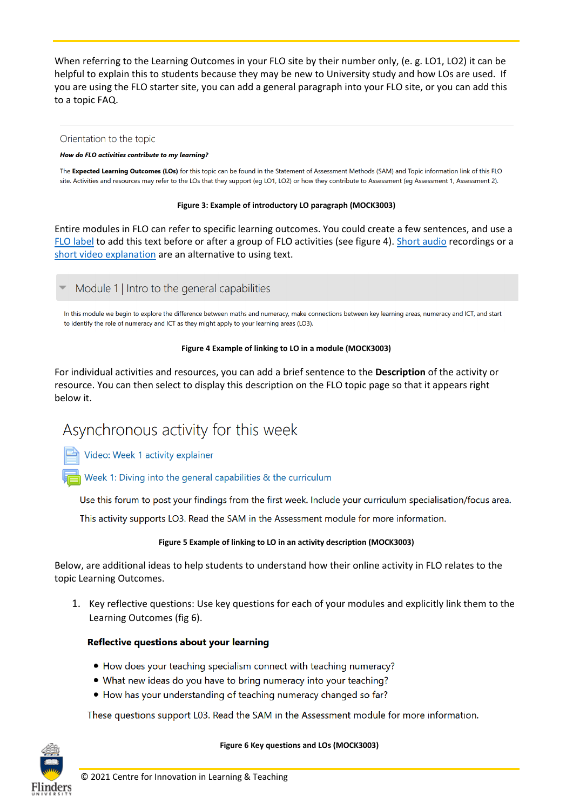When referring to the Learning Outcomes in your FLO site by their number only, (e. g. LO1, LO2) it can be helpful to explain this to students because they may be new to University study and how LOs are used. If you are using the FLO starter site, you can add a general paragraph into your FLO site, or you can add this to a topic FAQ.

#### Orientation to the topic

#### How do FLO activities contribute to my learning?

The Expected Learning Outcomes (LOs) for this topic can be found in the Statement of Assessment Methods (SAM) and Topic information link of this FLO site. Activities and resources may refer to the LOs that they support (eg LO1, LO2) or how they contribute to Assessment (eg Assessment 1, Assessment 2).

#### **Figure 3: Example of introductory LO paragraph (MOCK3003)**

Entire modules in FLO can refer to specific learning outcomes. You could create a few sentences, and use a [FLO label](https://flo.flinders.edu.au/mod/glossary/showentry.php?courseid=151&eid=93447&displayformat=dictionary) to add this text before or after a group of FLO activities (see figure 4). [Short audio](https://flo.flinders.edu.au/mod/glossary/showentry.php?courseid=151&eid=104919&displayformat=dictionary) recordings or a [short video explanation](https://flo.flinders.edu.au/mod/glossary/showentry.php?courseid=151&eid=55774&displayformat=dictionary) are an alternative to using text.

#### Module 1 | Intro to the general capabilities

In this module we begin to explore the difference between maths and numeracy, make connections between key learning areas, numeracy and ICT, and start to identify the role of numeracy and ICT as they might apply to your learning areas (LO3).

#### **Figure 4 Example of linking to LO in a module (MOCK3003)**

For individual activities and resources, you can add a brief sentence to the **Description** of the activity or resource. You can then select to display this description on the FLO topic page so that it appears right below it.

# Asynchronous activity for this week

Video: Week 1 activity explainer

Week 1: Diving into the general capabilities & the curriculum

Use this forum to post your findings from the first week. Include your curriculum specialisation/focus area.

This activity supports LO3. Read the SAM in the Assessment module for more information.

#### **Figure 5 Example of linking to LO in an activity description (MOCK3003)**

Below, are additional ideas to help students to understand how their online activity in FLO relates to the topic Learning Outcomes.

1. Key reflective questions: Use key questions for each of your modules and explicitly link them to the Learning Outcomes (fig 6).

#### Reflective questions about your learning

- How does your teaching specialism connect with teaching numeracy?
- What new ideas do you have to bring numeracy into your teaching?
- How has your understanding of teaching numeracy changed so far?

These questions support L03. Read the SAM in the Assessment module for more information.



#### **Figure 6 Key questions and LOs (MOCK3003)**